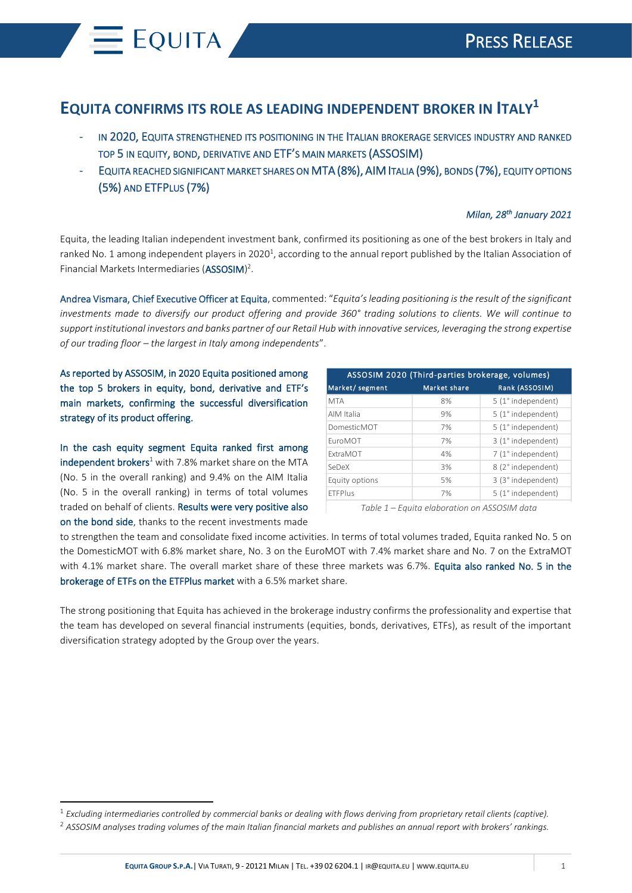## **EQUITA CONFIRMS ITS ROLE AS LEADING INDEPENDENT BROKER IN ITALY<sup>1</sup>**

- IN 2020, EQUITA STRENGTHENED ITS POSITIONING IN THE ITALIAN BROKERAGE SERVICES INDUSTRY AND RANKED TOP 5 IN EQUITY, BOND, DERIVATIVE AND ETF'S MAIN MARKETS (ASSOSIM)
- EQUITA REACHED SIGNIFICANT MARKET SHARES ON MTA (8%), AIM ITALIA (9%), BONDS (7%), EQUITY OPTIONS (5%) AND ETFPLUS (7%)

## *Milan, 28th January 2021*

Equita, the leading Italian independent investment bank, confirmed its positioning as one of the best brokers in Italy and ranked No. 1 among independent players in 2020<sup>1</sup>, according to the annual report published by the Italian Association of Financial Markets Intermediaries (ASSOSIM)<sup>2</sup>.

Andrea Vismara, Chief Executive Officer at Equita, commented: "*Equita'sleading positioning is the result of the significant investments made to diversify our product offering and provide 360° trading solutions to clients. We will continue to support institutional investors and banks partner of our Retail Hub with innovative services, leveraging the strong expertise of our trading floor – the largest in Italy among independents*".

 $=$  EQUITA

| the top 5 brokers in equity, bond, derivative and ETF's                                                                   | Market/segment  | Market share                                 | ASSOSIM 2020 (Third-parties brokerage, volumes)<br>Rank (ASSOSIM) |
|---------------------------------------------------------------------------------------------------------------------------|-----------------|----------------------------------------------|-------------------------------------------------------------------|
| main markets, confirming the successful diversification                                                                   | <b>MTA</b>      | 8%                                           | 5 (1° independent)                                                |
| strategy of its product offering.                                                                                         | AIM Italia      | 9%                                           | 5 (1° independent)                                                |
|                                                                                                                           | DomesticMOT     | 7%                                           | 5 (1° independent)                                                |
|                                                                                                                           | EuroMOT         | 7%                                           | 3 (1° independent)                                                |
| In the cash equity segment Equita ranked first among                                                                      | <b>ExtraMOT</b> | 4%                                           | 7 (1° independent)                                                |
| independent brokers <sup>1</sup> with 7.8% market share on the MTA                                                        | SeDeX           | 3%                                           | 8 (2° independent)                                                |
| (No. 5 in the overall ranking) and 9.4% on the AIM Italia                                                                 | Equity options  | 5%                                           | 3 (3° independent)                                                |
| (No. 5 in the overall ranking) in terms of total volumes                                                                  | <b>ETFPlus</b>  | 7%                                           | 5 (1° independent)                                                |
| traded on behalf of clients. Results were very positive also                                                              |                 | Table 1 - Equita elaboration on ASSOSIM data |                                                                   |
| on the bond side, thanks to the recent investments made                                                                   |                 |                                              |                                                                   |
| The strong positioning that Equita has achieved in the brokerage industry confirms the professionality and expertise that |                 |                                              |                                                                   |
| the team has developed on several financial instruments (equities, bonds, derivatives, ETFs), as result of the important  |                 |                                              |                                                                   |
| diversification strategy adopted by the Group over the years.                                                             |                 |                                              |                                                                   |
|                                                                                                                           |                 |                                              |                                                                   |
|                                                                                                                           |                 |                                              |                                                                   |
|                                                                                                                           |                 |                                              |                                                                   |
|                                                                                                                           |                 |                                              |                                                                   |
|                                                                                                                           |                 |                                              |                                                                   |
|                                                                                                                           |                 |                                              |                                                                   |

<sup>1</sup> *Excluding intermediaries controlled by commercial banks or dealing with flows deriving from proprietary retail clients (captive).*